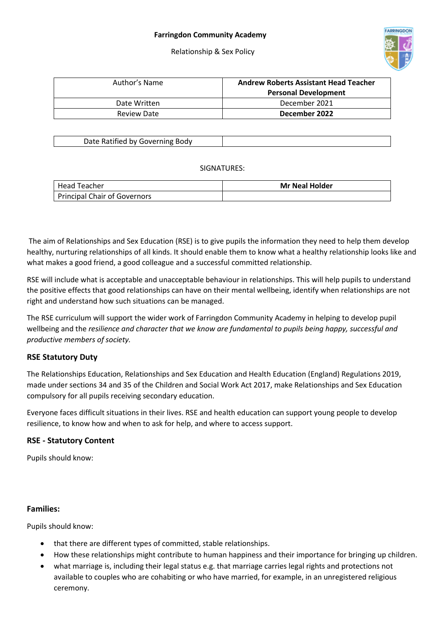#### **Farringdon Community Academy**

Relationship & Sex Policy



| <b>Andrew Roberts Assistant Head Teacher</b><br><b>Personal Development</b> |
|-----------------------------------------------------------------------------|
| December 2021                                                               |
| December 2022                                                               |
|                                                                             |

Date Ratified by Governing Body

## SIGNATURES:

| Head Teacher                 | <b>Mr Neal Holder</b> |
|------------------------------|-----------------------|
| Principal Chair of Governors |                       |

The aim of Relationships and Sex Education (RSE) is to give pupils the information they need to help them develop healthy, nurturing relationships of all kinds. It should enable them to know what a healthy relationship looks like and what makes a good friend, a good colleague and a successful committed relationship.

RSE will include what is acceptable and unacceptable behaviour in relationships. This will help pupils to understand the positive effects that good relationships can have on their mental wellbeing, identify when relationships are not right and understand how such situations can be managed.

The RSE curriculum will support the wider work of Farringdon Community Academy in helping to develop pupil wellbeing and the *resilience and character that we know are fundamental to pupils being happy, successful and productive members of society.*

## **RSE Statutory Duty**

The Relationships Education, Relationships and Sex Education and Health Education (England) Regulations 2019, made under sections 34 and 35 of the Children and Social Work Act 2017, make Relationships and Sex Education compulsory for all pupils receiving secondary education.

Everyone faces difficult situations in their lives. RSE and health education can support young people to develop resilience, to know how and when to ask for help, and where to access support.

## **RSE - Statutory Content**

Pupils should know:

## **Families:**

Pupils should know:

- that there are different types of committed, stable relationships.
- How these relationships might contribute to human happiness and their importance for bringing up children.
- what marriage is, including their legal status e.g. that marriage carries legal rights and protections not available to couples who are cohabiting or who have married, for example, in an unregistered religious ceremony.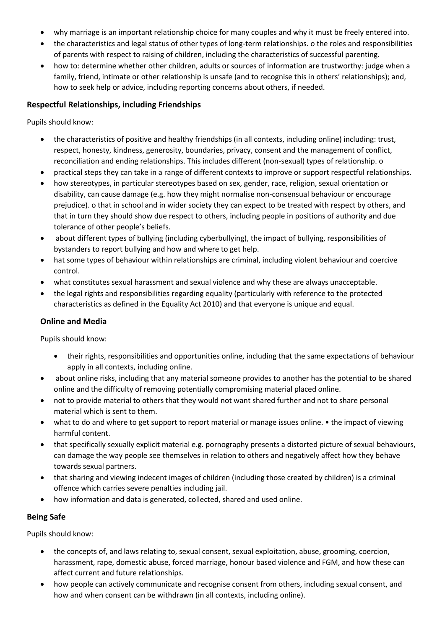- why marriage is an important relationship choice for many couples and why it must be freely entered into.
- the characteristics and legal status of other types of long-term relationships. o the roles and responsibilities of parents with respect to raising of children, including the characteristics of successful parenting.
- how to: determine whether other children, adults or sources of information are trustworthy: judge when a family, friend, intimate or other relationship is unsafe (and to recognise this in others' relationships); and, how to seek help or advice, including reporting concerns about others, if needed.

# **Respectful Relationships, including Friendships**

Pupils should know:

- the characteristics of positive and healthy friendships (in all contexts, including online) including: trust, respect, honesty, kindness, generosity, boundaries, privacy, consent and the management of conflict, reconciliation and ending relationships. This includes different (non-sexual) types of relationship. o
- practical steps they can take in a range of different contexts to improve or support respectful relationships.
- how stereotypes, in particular stereotypes based on sex, gender, race, religion, sexual orientation or disability, can cause damage (e.g. how they might normalise non-consensual behaviour or encourage prejudice). o that in school and in wider society they can expect to be treated with respect by others, and that in turn they should show due respect to others, including people in positions of authority and due tolerance of other people's beliefs.
- about different types of bullying (including cyberbullying), the impact of bullying, responsibilities of bystanders to report bullying and how and where to get help.
- hat some types of behaviour within relationships are criminal, including violent behaviour and coercive control.
- what constitutes sexual harassment and sexual violence and why these are always unacceptable.
- the legal rights and responsibilities regarding equality (particularly with reference to the protected characteristics as defined in the Equality Act 2010) and that everyone is unique and equal.

## **Online and Media**

Pupils should know:

- their rights, responsibilities and opportunities online, including that the same expectations of behaviour apply in all contexts, including online.
- about online risks, including that any material someone provides to another has the potential to be shared online and the difficulty of removing potentially compromising material placed online.
- not to provide material to others that they would not want shared further and not to share personal material which is sent to them.
- what to do and where to get support to report material or manage issues online. the impact of viewing harmful content.
- that specifically sexually explicit material e.g. pornography presents a distorted picture of sexual behaviours, can damage the way people see themselves in relation to others and negatively affect how they behave towards sexual partners.
- that sharing and viewing indecent images of children (including those created by children) is a criminal offence which carries severe penalties including jail.
- how information and data is generated, collected, shared and used online.

## **Being Safe**

Pupils should know:

- the concepts of, and laws relating to, sexual consent, sexual exploitation, abuse, grooming, coercion, harassment, rape, domestic abuse, forced marriage, honour based violence and FGM, and how these can affect current and future relationships.
- how people can actively communicate and recognise consent from others, including sexual consent, and how and when consent can be withdrawn (in all contexts, including online).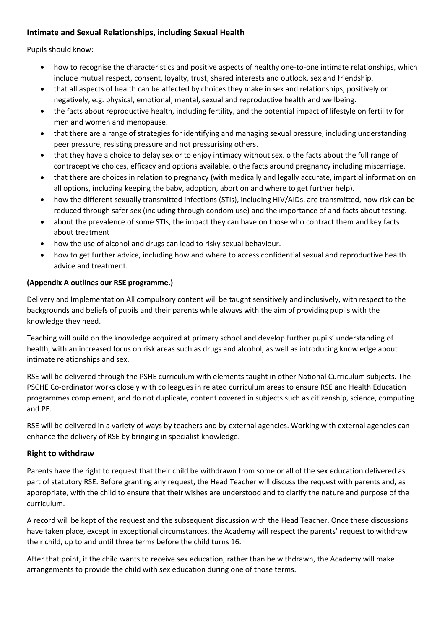# **Intimate and Sexual Relationships, including Sexual Health**

Pupils should know:

- how to recognise the characteristics and positive aspects of healthy one-to-one intimate relationships, which include mutual respect, consent, loyalty, trust, shared interests and outlook, sex and friendship.
- that all aspects of health can be affected by choices they make in sex and relationships, positively or negatively, e.g. physical, emotional, mental, sexual and reproductive health and wellbeing.
- the facts about reproductive health, including fertility, and the potential impact of lifestyle on fertility for men and women and menopause.
- that there are a range of strategies for identifying and managing sexual pressure, including understanding peer pressure, resisting pressure and not pressurising others.
- that they have a choice to delay sex or to enjoy intimacy without sex. o the facts about the full range of contraceptive choices, efficacy and options available. o the facts around pregnancy including miscarriage.
- that there are choices in relation to pregnancy (with medically and legally accurate, impartial information on all options, including keeping the baby, adoption, abortion and where to get further help).
- how the different sexually transmitted infections (STIs), including HIV/AIDs, are transmitted, how risk can be reduced through safer sex (including through condom use) and the importance of and facts about testing.
- about the prevalence of some STIs, the impact they can have on those who contract them and key facts about treatment
- how the use of alcohol and drugs can lead to risky sexual behaviour.
- how to get further advice, including how and where to access confidential sexual and reproductive health advice and treatment.

## **(Appendix A outlines our RSE programme.)**

Delivery and Implementation All compulsory content will be taught sensitively and inclusively, with respect to the backgrounds and beliefs of pupils and their parents while always with the aim of providing pupils with the knowledge they need.

Teaching will build on the knowledge acquired at primary school and develop further pupils' understanding of health, with an increased focus on risk areas such as drugs and alcohol, as well as introducing knowledge about intimate relationships and sex.

RSE will be delivered through the PSHE curriculum with elements taught in other National Curriculum subjects. The PSCHE Co-ordinator works closely with colleagues in related curriculum areas to ensure RSE and Health Education programmes complement, and do not duplicate, content covered in subjects such as citizenship, science, computing and PE.

RSE will be delivered in a variety of ways by teachers and by external agencies. Working with external agencies can enhance the delivery of RSE by bringing in specialist knowledge.

## **Right to withdraw**

Parents have the right to request that their child be withdrawn from some or all of the sex education delivered as part of statutory RSE. Before granting any request, the Head Teacher will discuss the request with parents and, as appropriate, with the child to ensure that their wishes are understood and to clarify the nature and purpose of the curriculum.

A record will be kept of the request and the subsequent discussion with the Head Teacher. Once these discussions have taken place, except in exceptional circumstances, the Academy will respect the parents' request to withdraw their child, up to and until three terms before the child turns 16.

After that point, if the child wants to receive sex education, rather than be withdrawn, the Academy will make arrangements to provide the child with sex education during one of those terms.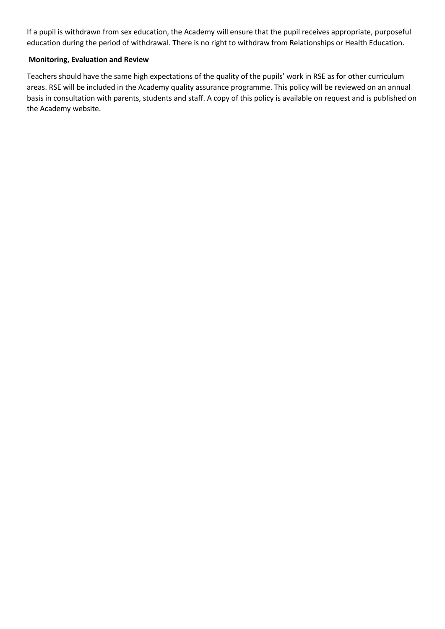If a pupil is withdrawn from sex education, the Academy will ensure that the pupil receives appropriate, purposeful education during the period of withdrawal. There is no right to withdraw from Relationships or Health Education.

#### **Monitoring, Evaluation and Review**

Teachers should have the same high expectations of the quality of the pupils' work in RSE as for other curriculum areas. RSE will be included in the Academy quality assurance programme. This policy will be reviewed on an annual basis in consultation with parents, students and staff. A copy of this policy is available on request and is published on the Academy website.